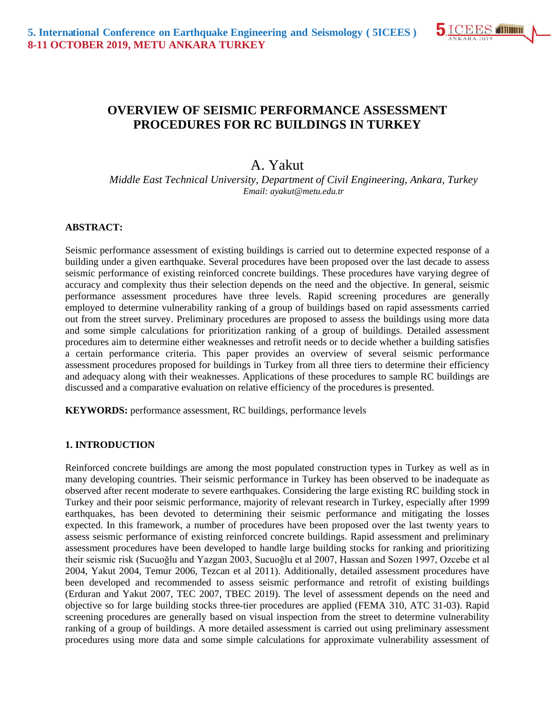

## **OVERVIEW OF SEISMIC PERFORMANCE ASSESSMENT PROCEDURES FOR RC BUILDINGS IN TURKEY**

# A. Yakut

*Middle East Technical University, Department of Civil Engineering, Ankara, Turkey Email: ayakut@metu.edu.tr*

#### **ABSTRACT:**

Seismic performance assessment of existing buildings is carried out to determine expected response of a building under a given earthquake. Several procedures have been proposed over the last decade to assess seismic performance of existing reinforced concrete buildings. These procedures have varying degree of accuracy and complexity thus their selection depends on the need and the objective. In general, seismic performance assessment procedures have three levels. Rapid screening procedures are generally employed to determine vulnerability ranking of a group of buildings based on rapid assessments carried out from the street survey. Preliminary procedures are proposed to assess the buildings using more data and some simple calculations for prioritization ranking of a group of buildings. Detailed assessment procedures aim to determine either weaknesses and retrofit needs or to decide whether a building satisfies a certain performance criteria. This paper provides an overview of several seismic performance assessment procedures proposed for buildings in Turkey from all three tiers to determine their efficiency and adequacy along with their weaknesses. Applications of these procedures to sample RC buildings are discussed and a comparative evaluation on relative efficiency of the procedures is presented.

**KEYWORDS:** performance assessment, RC buildings, performance levels

#### **1. INTRODUCTION**

Reinforced concrete buildings are among the most populated construction types in Turkey as well as in many developing countries. Their seismic performance in Turkey has been observed to be inadequate as observed after recent moderate to severe earthquakes. Considering the large existing RC building stock in Turkey and their poor seismic performance, majority of relevant research in Turkey, especially after 1999 earthquakes, has been devoted to determining their seismic performance and mitigating the losses expected. In this framework, a number of procedures have been proposed over the last twenty years to assess seismic performance of existing reinforced concrete buildings. Rapid assessment and preliminary assessment procedures have been developed to handle large building stocks for ranking and prioritizing their seismic risk (Sucuoğlu and Yazgan 2003, Sucuoğlu et al 2007, Hassan and Sozen 1997, Ozcebe et al 2004, Yakut 2004, Temur 2006, Tezcan et al 2011). Additionally, detailed assessment procedures have been developed and recommended to assess seismic performance and retrofit of existing buildings (Erduran and Yakut 2007, TEC 2007, TBEC 2019). The level of assessment depends on the need and objective so for large building stocks three-tier procedures are applied (FEMA 310, ATC 31-03). Rapid screening procedures are generally based on visual inspection from the street to determine vulnerability ranking of a group of buildings. A more detailed assessment is carried out using preliminary assessment procedures using more data and some simple calculations for approximate vulnerability assessment of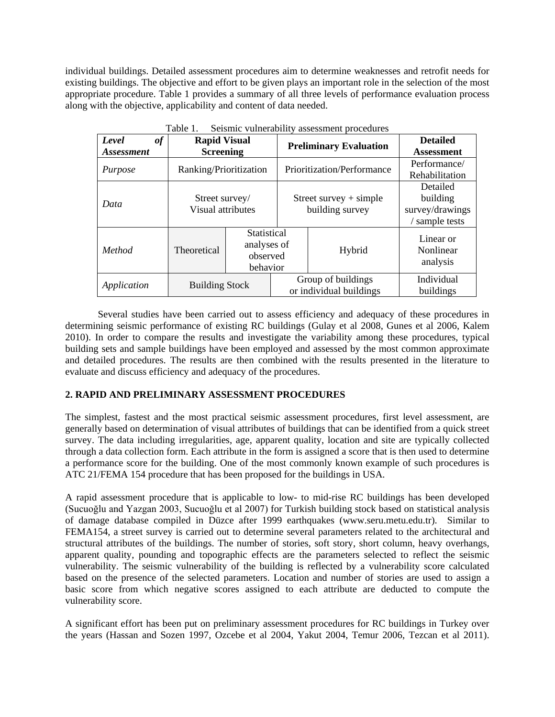individual buildings. Detailed assessment procedures aim to determine weaknesses and retrofit needs for existing buildings. The objective and effort to be given plays an important role in the selection of the most appropriate procedure. Table 1 provides a summary of all three levels of performance evaluation process along with the objective, applicability and content of data needed.

| Table 1.<br>Seismic vulnerability assessment procedures                     |                                     |                                                    |                               |                                               |                                                           |  |  |
|-----------------------------------------------------------------------------|-------------------------------------|----------------------------------------------------|-------------------------------|-----------------------------------------------|-----------------------------------------------------------|--|--|
| Level<br>of<br><b>Rapid Visual</b><br><b>Screening</b><br><i>Assessment</i> |                                     |                                                    | <b>Preliminary Evaluation</b> | <b>Detailed</b><br><b>Assessment</b>          |                                                           |  |  |
| Purpose                                                                     | Ranking/Prioritization              |                                                    |                               | Prioritization/Performance                    | Performance/<br>Rehabilitation                            |  |  |
| Data                                                                        | Street survey/<br>Visual attributes |                                                    |                               | Street survey $+$ simple<br>building survey   | Detailed<br>building<br>survey/drawings<br>/ sample tests |  |  |
| Method                                                                      | Theoretical                         | Statistical<br>analyses of<br>observed<br>behavior |                               | Hybrid                                        | Linear or<br>Nonlinear<br>analysis                        |  |  |
| Application                                                                 | <b>Building Stock</b>               |                                                    |                               | Group of buildings<br>or individual buildings | Individual<br>buildings                                   |  |  |

Several studies have been carried out to assess efficiency and adequacy of these procedures in determining seismic performance of existing RC buildings (Gulay et al 2008, Gunes et al 2006, Kalem 2010). In order to compare the results and investigate the variability among these procedures, typical building sets and sample buildings have been employed and assessed by the most common approximate and detailed procedures. The results are then combined with the results presented in the literature to evaluate and discuss efficiency and adequacy of the procedures.

#### **2. RAPID AND PRELIMINARY ASSESSMENT PROCEDURES**

The simplest, fastest and the most practical seismic assessment procedures, first level assessment, are generally based on determination of visual attributes of buildings that can be identified from a quick street survey. The data including irregularities, age, apparent quality, location and site are typically collected through a data collection form. Each attribute in the form is assigned a score that is then used to determine a performance score for the building. One of the most commonly known example of such procedures is ATC 21/FEMA 154 procedure that has been proposed for the buildings in USA.

A rapid assessment procedure that is applicable to low- to mid-rise RC buildings has been developed (Sucuoğlu and Yazgan 2003, Sucuoğlu et al 2007) for Turkish building stock based on statistical analysis of damage database compiled in Düzce after 1999 earthquakes (www.seru.metu.edu.tr). Similar to FEMA154, a street survey is carried out to determine several parameters related to the architectural and structural attributes of the buildings. The number of stories, soft story, short column, heavy overhangs, apparent quality, pounding and topographic effects are the parameters selected to reflect the seismic vulnerability. The seismic vulnerability of the building is reflected by a vulnerability score calculated based on the presence of the selected parameters. Location and number of stories are used to assign a basic score from which negative scores assigned to each attribute are deducted to compute the vulnerability score.

A significant effort has been put on preliminary assessment procedures for RC buildings in Turkey over the years (Hassan and Sozen 1997, Ozcebe et al 2004, Yakut 2004, Temur 2006, Tezcan et al 2011).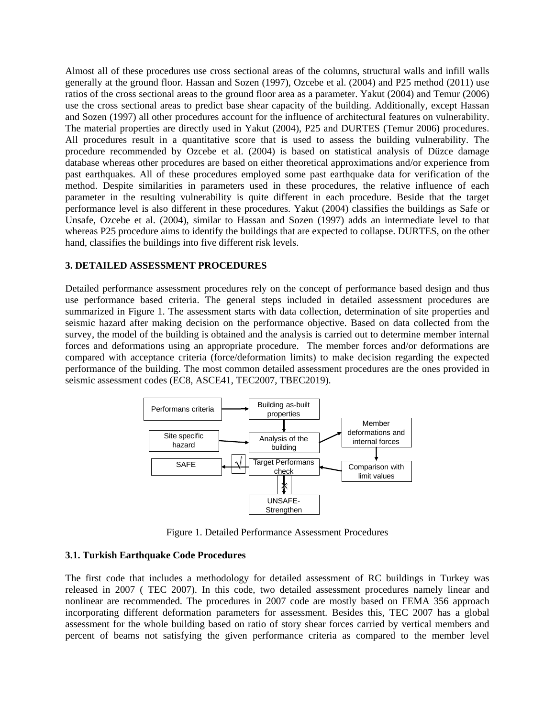Almost all of these procedures use cross sectional areas of the columns, structural walls and infill walls generally at the ground floor. Hassan and Sozen (1997), Ozcebe et al. (2004) and P25 method (2011) use ratios of the cross sectional areas to the ground floor area as a parameter. Yakut (2004) and Temur (2006) use the cross sectional areas to predict base shear capacity of the building. Additionally, except Hassan and Sozen (1997) all other procedures account for the influence of architectural features on vulnerability. The material properties are directly used in Yakut (2004), P25 and DURTES (Temur 2006) procedures. All procedures result in a quantitative score that is used to assess the building vulnerability. The procedure recommended by Ozcebe et al. (2004) is based on statistical analysis of Düzce damage database whereas other procedures are based on either theoretical approximations and/or experience from past earthquakes. All of these procedures employed some past earthquake data for verification of the method. Despite similarities in parameters used in these procedures, the relative influence of each parameter in the resulting vulnerability is quite different in each procedure. Beside that the target performance level is also different in these procedures. Yakut (2004) classifies the buildings as Safe or Unsafe, Ozcebe et al. (2004), similar to Hassan and Sozen (1997) adds an intermediate level to that whereas P25 procedure aims to identify the buildings that are expected to collapse. DURTES, on the other hand, classifies the buildings into five different risk levels.

#### **3. DETAILED ASSESSMENT PROCEDURES**

Detailed performance assessment procedures rely on the concept of performance based design and thus use performance based criteria. The general steps included in detailed assessment procedures are summarized in Figure 1. The assessment starts with data collection, determination of site properties and seismic hazard after making decision on the performance objective. Based on data collected from the survey, the model of the building is obtained and the analysis is carried out to determine member internal forces and deformations using an appropriate procedure. The member forces and/or deformations are compared with acceptance criteria (force/deformation limits) to make decision regarding the expected performance of the building. The most common detailed assessment procedures are the ones provided in seismic assessment codes (EC8, ASCE41, TEC2007, TBEC2019).



Figure 1. Detailed Performance Assessment Procedures

#### **3.1. Turkish Earthquake Code Procedures**

The first code that includes a methodology for detailed assessment of RC buildings in Turkey was released in 2007 ( TEC 2007). In this code, two detailed assessment procedures namely linear and nonlinear are recommended. The procedures in 2007 code are mostly based on FEMA 356 approach incorporating different deformation parameters for assessment. Besides this, TEC 2007 has a global assessment for the whole building based on ratio of story shear forces carried by vertical members and percent of beams not satisfying the given performance criteria as compared to the member level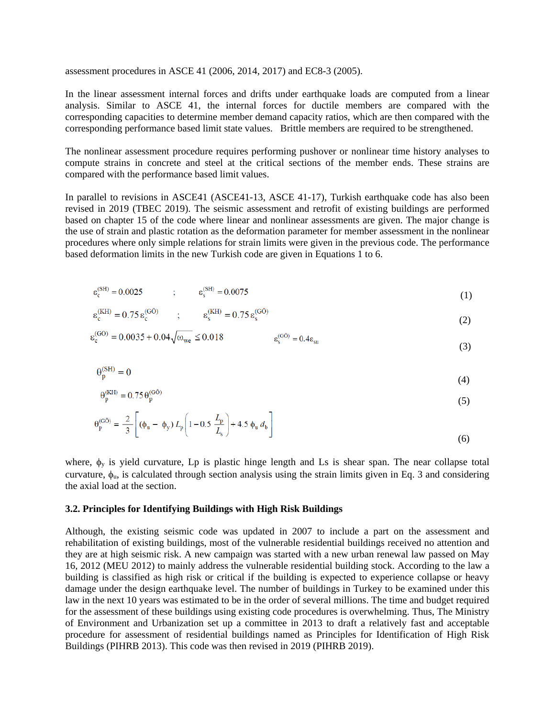assessment procedures in ASCE 41 (2006, 2014, 2017) and EC8-3 (2005).

In the linear assessment internal forces and drifts under earthquake loads are computed from a linear analysis. Similar to ASCE 41, the internal forces for ductile members are compared with the corresponding capacities to determine member demand capacity ratios, which are then compared with the corresponding performance based limit state values. Brittle members are required to be strengthened.

The nonlinear assessment procedure requires performing pushover or nonlinear time history analyses to compute strains in concrete and steel at the critical sections of the member ends. These strains are compared with the performance based limit values.

In parallel to revisions in ASCE41 (ASCE41-13, ASCE 41-17), Turkish earthquake code has also been revised in 2019 (TBEC 2019). The seismic assessment and retrofit of existing buildings are performed based on chapter 15 of the code where linear and nonlinear assessments are given. The major change is the use of strain and plastic rotation as the deformation parameter for member assessment in the nonlinear procedures where only simple relations for strain limits were given in the previous code. The performance based deformation limits in the new Turkish code are given in Equations 1 to 6.

$$
\varepsilon_c^{\rm (SH)} = 0.0025 \qquad ; \qquad \varepsilon_s^{\rm (SH)} = 0.0075 \tag{1}
$$

$$
\varepsilon_c^{\rm (KH)} = 0.75 \, \varepsilon_c^{\rm (G^{\bullet})} \qquad ; \qquad \varepsilon_s^{\rm (KH)} = 0.75 \, \varepsilon_s^{\rm (G^{\bullet})} \tag{2}
$$

$$
\varepsilon_{c}^{(G\bullet)} = 0.0035 + 0.04\sqrt{\omega_{we}} \le 0.018 \qquad \qquad \varepsilon_{s}^{(G\bullet)} = 0.4\varepsilon_{su} \tag{3}
$$

$$
\theta_{\rm p}^{\rm (SH)} = 0 \tag{4}
$$

$$
\Theta_{\mathbf{p}}^{\text{(KH)}} = 0.75 \,\Theta_{\mathbf{p}}^{\text{(GO)}} \tag{5}
$$

$$
\theta_{p}^{(GO)} = \frac{2}{3} \left[ (\phi_{u} - \phi_{y}) L_{p} \left( 1 - 0.5 \frac{L_{p}}{L_{s}} \right) + 4.5 \phi_{u} d_{b} \right]
$$
(6)

where,  $\phi_y$  is yield curvature, Lp is plastic hinge length and Ls is shear span. The near collapse total curvature,  $\phi_u$ , is calculated through section analysis using the strain limits given in Eq. 3 and considering the axial load at the section.

#### **3.2. Principles for Identifying Buildings with High Risk Buildings**

Although, the existing seismic code was updated in 2007 to include a part on the assessment and rehabilitation of existing buildings, most of the vulnerable residential buildings received no attention and they are at high seismic risk. A new campaign was started with a new urban renewal law passed on May 16, 2012 (MEU 2012) to mainly address the vulnerable residential building stock. According to the law a building is classified as high risk or critical if the building is expected to experience collapse or heavy damage under the design earthquake level. The number of buildings in Turkey to be examined under this law in the next 10 years was estimated to be in the order of several millions. The time and budget required for the assessment of these buildings using existing code procedures is overwhelming. Thus, The Ministry of Environment and Urbanization set up a committee in 2013 to draft a relatively fast and acceptable procedure for assessment of residential buildings named as Principles for Identification of High Risk Buildings (PIHRB 2013). This code was then revised in 2019 (PIHRB 2019).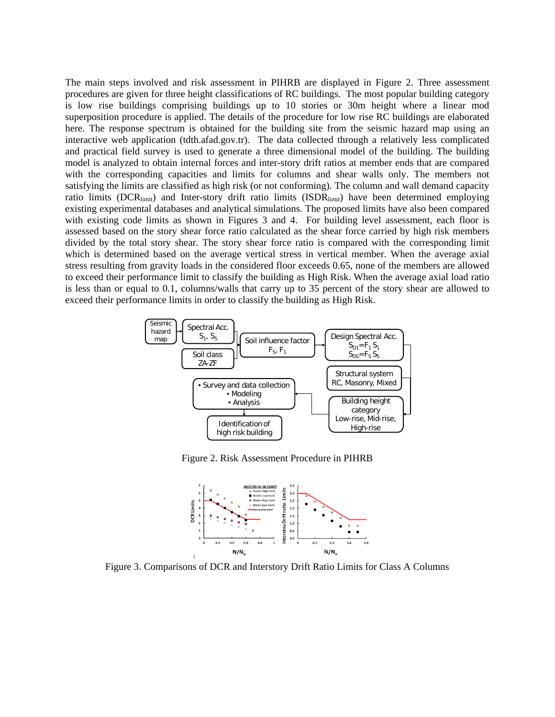The main steps involved and risk assessment in PIHRB are displayed in Figure 2. Three assessment procedures are given for three height classifications of RC buildings. The most popular building category is low rise buildings comprising buildings up to 10 stories or 30m height where a linear mod superposition procedure is applied. The details of the procedure for low rise RC buildings are elaborated here. The response spectrum is obtained for the building site from the seismic hazard map using an interactive web application (tdth.afad.gov.tr). The data collected through a relatively less complicated and practical field survey is used to generate a three dimensional model of the building. The building model is analyzed to obtain internal forces and inter-story drift ratios at member ends that are compared with the corresponding capacities and limits for columns and shear walls only. The members not satisfying the limits are classified as high risk (or not conforming). The column and wall demand capacity ratio limits (DCR<sub>limit</sub>) and Inter-story drift ratio limits (ISDR<sub>limit</sub>) have been determined employing existing experimental databases and analytical simulations. The proposed limits have also been compared with existing code limits as shown in Figures 3 and 4. For building level assessment, each floor is assessed based on the story shear force ratio calculated as the shear force carried by high risk members divided by the total story shear. The story shear force ratio is compared with the corresponding limit which is determined based on the average vertical stress in vertical member. When the average axial stress resulting from gravity loads in the considered floor exceeds 0.65, none of the members are allowed to exceed their performance limit to classify the building as High Risk. When the average axial load ratio is less than or equal to 0.1, columns/walls that carry up to 35 percent of the story shear are allowed to exceed their performance limits in order to classify the building as High Risk.



Figure 2. Risk Assessment Procedure in PIHRB



Figure 3. Comparisons of DCR and Interstory Drift Ratio Limits for Class A Columns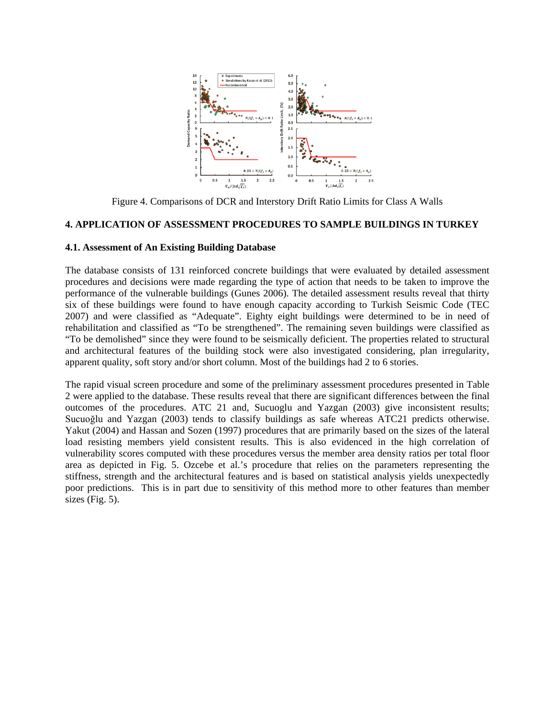

Figure 4. Comparisons of DCR and Interstory Drift Ratio Limits for Class A Walls

## **4. APPLICATION OF ASSESSMENT PROCEDURES TO SAMPLE BUILDINGS IN TURKEY**

#### **4.1. Assessment of An Existing Building Database**

The database consists of 131 reinforced concrete buildings that were evaluated by detailed assessment procedures and decisions were made regarding the type of action that needs to be taken to improve the performance of the vulnerable buildings (Gunes 2006). The detailed assessment results reveal that thirty six of these buildings were found to have enough capacity according to Turkish Seismic Code (TEC 2007) and were classified as "Adequate". Eighty eight buildings were determined to be in need of rehabilitation and classified as "To be strengthened". The remaining seven buildings were classified as "To be demolished" since they were found to be seismically deficient. The properties related to structural and architectural features of the building stock were also investigated considering, plan irregularity, apparent quality, soft story and/or short column. Most of the buildings had 2 to 6 stories.

The rapid visual screen procedure and some of the preliminary assessment procedures presented in Table 2 were applied to the database. These results reveal that there are significant differences between the final outcomes of the procedures. ATC 21 and, Sucuoglu and Yazgan (2003) give inconsistent results; Sucuoğlu and Yazgan (2003) tends to classify buildings as safe whereas ATC21 predicts otherwise. Yakut (2004) and Hassan and Sozen (1997) procedures that are primarily based on the sizes of the lateral load resisting members yield consistent results. This is also evidenced in the high correlation of vulnerability scores computed with these procedures versus the member area density ratios per total floor area as depicted in Fig. 5. Ozcebe et al.'s procedure that relies on the parameters representing the stiffness, strength and the architectural features and is based on statistical analysis yields unexpectedly poor predictions. This is in part due to sensitivity of this method more to other features than member sizes (Fig. 5).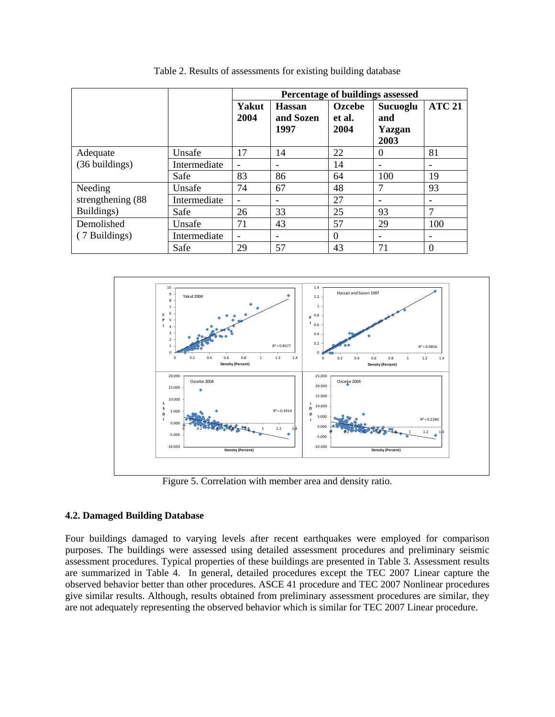|                    |              | Percentage of buildings assessed |                                    |                          |                                   |                              |
|--------------------|--------------|----------------------------------|------------------------------------|--------------------------|-----------------------------------|------------------------------|
|                    |              | Yakut<br>2004                    | <b>Hassan</b><br>and Sozen<br>1997 | Ozcebe<br>et al.<br>2004 | Sucuoglu<br>and<br>Yazgan<br>2003 | <b>ATC 21</b>                |
| Adequate           | Unsafe       | 17                               | 14                                 | 22                       | $\Omega$                          | 81                           |
| (36 buildings)     | Intermediate |                                  |                                    | 14                       | $\overline{\phantom{0}}$          | $\qquad \qquad \blacksquare$ |
|                    | Safe         | 83                               | 86                                 | 64                       | 100                               | 19                           |
| Needing            | Unsafe       | 74                               | 67                                 | 48                       | 7                                 | 93                           |
| strengthening (88) | Intermediate |                                  |                                    | 27                       |                                   | $\overline{\phantom{a}}$     |
| Buildings)         | Safe         | 26                               | 33                                 | 25                       | 93                                | $\mathcal{I}$                |
| Demolished         | Unsafe       | 71                               | 43                                 | 57                       | 29                                | 100                          |
| (7 Buildings)      | Intermediate | $\overline{\phantom{a}}$         | $\qquad \qquad \blacksquare$       | $\Omega$                 | -                                 | -                            |
|                    | Safe         | 29                               | 57                                 | 43                       | 71                                | $\Omega$                     |

Table 2. Results of assessments for existing building database



Figure 5. Correlation with member area and density ratio.

#### **4.2. Damaged Building Database**

Four buildings damaged to varying levels after recent earthquakes were employed for comparison purposes. The buildings were assessed using detailed assessment procedures and preliminary seismic assessment procedures. Typical properties of these buildings are presented in Table 3. Assessment results are summarized in Table 4. In general, detailed procedures except the TEC 2007 Linear capture the observed behavior better than other procedures. ASCE 41 procedure and TEC 2007 Nonlinear procedures give similar results. Although, results obtained from preliminary assessment procedures are similar, they are not adequately representing the observed behavior which is similar for TEC 2007 Linear procedure.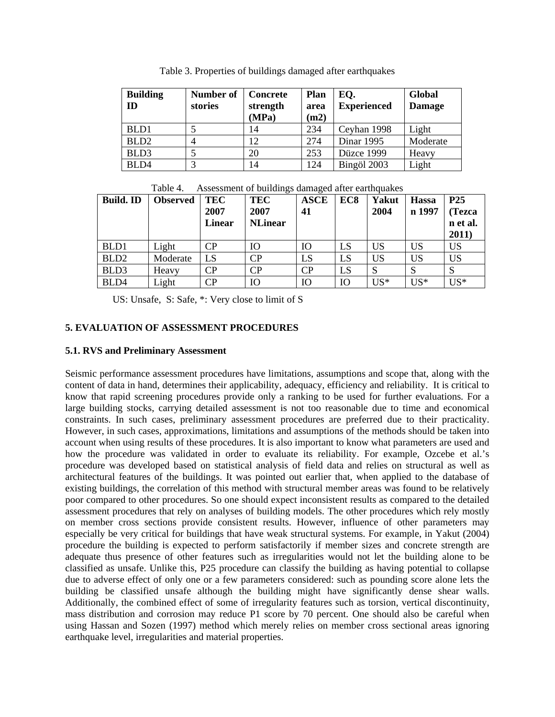| <b>Building</b><br>ID | Number of<br>stories | Concrete<br>strength<br>(MPa) | Plan<br>area<br>(m2) | EQ.<br><b>Experienced</b> | Global<br><b>Damage</b> |
|-----------------------|----------------------|-------------------------------|----------------------|---------------------------|-------------------------|
| BLD1                  |                      | 14                            | 234                  | Ceyhan 1998               | Light                   |
| BLD <sub>2</sub>      |                      | 12                            | 274                  | <b>Dinar 1995</b>         | Moderate                |
| BLD3                  |                      | 20                            | 253                  | Düzce 1999                | Heavy                   |
| BLD4                  |                      | 14                            | 124                  | Bingöl 2003               | Light                   |

Table 3. Properties of buildings damaged after earthquakes

| <b>Build. ID</b> | <b>Observed</b> | <b>TEC</b><br>2007<br><b>Linear</b> | <b>TEC</b><br>2007<br><b>NLinear</b> | <b>ASCE</b><br>41      | EC <sub>8</sub> | Yakut<br>2004 | <b>Hassa</b><br>n 1997 | P <sub>25</sub><br>(Tezca<br>n et al.<br>2011) |
|------------------|-----------------|-------------------------------------|--------------------------------------|------------------------|-----------------|---------------|------------------------|------------------------------------------------|
| BLD1             | Light           | CР                                  | Ю                                    | Ю                      | LS              | <b>US</b>     | <b>US</b>              | <b>US</b>                                      |
| BLD <sub>2</sub> | Moderate        | LS                                  | $\overline{\text{CP}}$               | LS                     | LS              | US            | <b>US</b>              | <b>US</b>                                      |
| BLD3             | Heavy           | CР                                  | $\overline{\text{CP}}$               | $\overline{\text{CP}}$ | LS              | S             | S                      | S                                              |
| BLD4             | Light           | CР                                  | Ю                                    | Ю                      | Ю               | $US^*$        | $US^*$                 | $US^*$                                         |

Table 4. Assessment of buildings damaged after earthquakes

US: Unsafe, S: Safe, \*: Very close to limit of S

## **5. EVALUATION OF ASSESSMENT PROCEDURES**

#### **5.1. RVS and Preliminary Assessment**

Seismic performance assessment procedures have limitations, assumptions and scope that, along with the content of data in hand, determines their applicability, adequacy, efficiency and reliability. It is critical to know that rapid screening procedures provide only a ranking to be used for further evaluations. For a large building stocks, carrying detailed assessment is not too reasonable due to time and economical constraints. In such cases, preliminary assessment procedures are preferred due to their practicality. However, in such cases, approximations, limitations and assumptions of the methods should be taken into account when using results of these procedures. It is also important to know what parameters are used and how the procedure was validated in order to evaluate its reliability. For example, Ozcebe et al.'s procedure was developed based on statistical analysis of field data and relies on structural as well as architectural features of the buildings. It was pointed out earlier that, when applied to the database of existing buildings, the correlation of this method with structural member areas was found to be relatively poor compared to other procedures. So one should expect inconsistent results as compared to the detailed assessment procedures that rely on analyses of building models. The other procedures which rely mostly on member cross sections provide consistent results. However, influence of other parameters may especially be very critical for buildings that have weak structural systems. For example, in Yakut (2004) procedure the building is expected to perform satisfactorily if member sizes and concrete strength are adequate thus presence of other features such as irregularities would not let the building alone to be classified as unsafe. Unlike this, P25 procedure can classify the building as having potential to collapse due to adverse effect of only one or a few parameters considered: such as pounding score alone lets the building be classified unsafe although the building might have significantly dense shear walls. Additionally, the combined effect of some of irregularity features such as torsion, vertical discontinuity, mass distribution and corrosion may reduce P1 score by 70 percent. One should also be careful when using Hassan and Sozen (1997) method which merely relies on member cross sectional areas ignoring earthquake level, irregularities and material properties.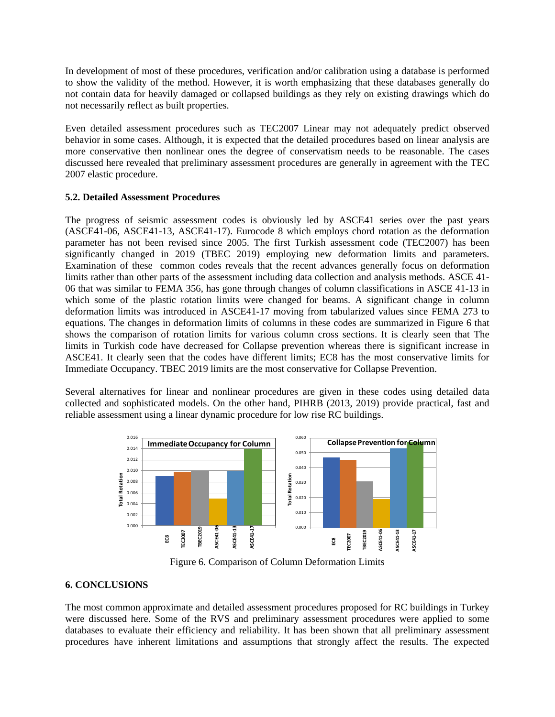In development of most of these procedures, verification and/or calibration using a database is performed to show the validity of the method. However, it is worth emphasizing that these databases generally do not contain data for heavily damaged or collapsed buildings as they rely on existing drawings which do not necessarily reflect as built properties.

Even detailed assessment procedures such as TEC2007 Linear may not adequately predict observed behavior in some cases. Although, it is expected that the detailed procedures based on linear analysis are more conservative then nonlinear ones the degree of conservatism needs to be reasonable. The cases discussed here revealed that preliminary assessment procedures are generally in agreement with the TEC 2007 elastic procedure.

## **5.2. Detailed Assessment Procedures**

The progress of seismic assessment codes is obviously led by ASCE41 series over the past years (ASCE41-06, ASCE41-13, ASCE41-17). Eurocode 8 which employs chord rotation as the deformation parameter has not been revised since 2005. The first Turkish assessment code (TEC2007) has been significantly changed in 2019 (TBEC 2019) employing new deformation limits and parameters. Examination of these common codes reveals that the recent advances generally focus on deformation limits rather than other parts of the assessment including data collection and analysis methods. ASCE 41- 06 that was similar to FEMA 356, has gone through changes of column classifications in ASCE 41-13 in which some of the plastic rotation limits were changed for beams. A significant change in column deformation limits was introduced in ASCE41-17 moving from tabularized values since FEMA 273 to equations. The changes in deformation limits of columns in these codes are summarized in Figure 6 that shows the comparison of rotation limits for various column cross sections. It is clearly seen that The limits in Turkish code have decreased for Collapse prevention whereas there is significant increase in ASCE41. It clearly seen that the codes have different limits; EC8 has the most conservative limits for Immediate Occupancy. TBEC 2019 limits are the most conservative for Collapse Prevention.

Several alternatives for linear and nonlinear procedures are given in these codes using detailed data collected and sophisticated models. On the other hand, PIHRB (2013, 2019) provide practical, fast and reliable assessment using a linear dynamic procedure for low rise RC buildings.



Figure 6. Comparison of Column Deformation Limits

## **6. CONCLUSIONS**

The most common approximate and detailed assessment procedures proposed for RC buildings in Turkey were discussed here. Some of the RVS and preliminary assessment procedures were applied to some databases to evaluate their efficiency and reliability. It has been shown that all preliminary assessment procedures have inherent limitations and assumptions that strongly affect the results. The expected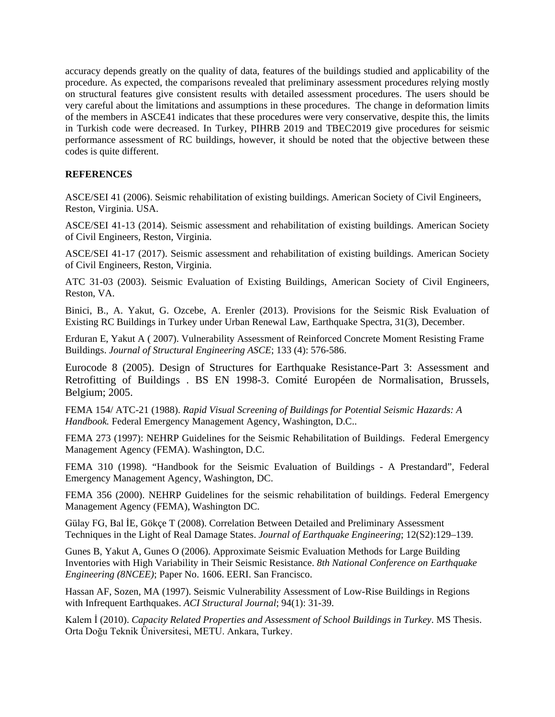accuracy depends greatly on the quality of data, features of the buildings studied and applicability of the procedure. As expected, the comparisons revealed that preliminary assessment procedures relying mostly on structural features give consistent results with detailed assessment procedures. The users should be very careful about the limitations and assumptions in these procedures. The change in deformation limits of the members in ASCE41 indicates that these procedures were very conservative, despite this, the limits in Turkish code were decreased. In Turkey, PIHRB 2019 and TBEC2019 give procedures for seismic performance assessment of RC buildings, however, it should be noted that the objective between these codes is quite different.

#### **REFERENCES**

ASCE/SEI 41 (2006). Seismic rehabilitation of existing buildings. American Society of Civil Engineers, Reston, Virginia. USA.

ASCE/SEI 41-13 (2014). Seismic assessment and rehabilitation of existing buildings. American Society of Civil Engineers, Reston, Virginia.

ASCE/SEI 41-17 (2017). Seismic assessment and rehabilitation of existing buildings. American Society of Civil Engineers, Reston, Virginia.

ATC 31-03 (2003). Seismic Evaluation of Existing Buildings, American Society of Civil Engineers, Reston, VA.

Binici, B., A. Yakut, G. Ozcebe, A. Erenler (2013). Provisions for the Seismic Risk Evaluation of Existing RC Buildings in Turkey under Urban Renewal Law, Earthquake Spectra, 31(3), December.

Erduran E, Yakut A ( 2007). Vulnerability Assessment of Reinforced Concrete Moment Resisting Frame Buildings. *Journal of Structural Engineering ASCE*; 133 (4): 576-586.

Eurocode 8 (2005). Design of Structures for Earthquake Resistance-Part 3: Assessment and Retrofitting of Buildings . BS EN 1998-3. Comité Européen de Normalisation, Brussels, Belgium; 2005.

FEMA 154/ ATC-21 (1988). *Rapid Visual Screening of Buildings for Potential Seismic Hazards: A Handbook.* Federal Emergency Management Agency, Washington, D.C..

FEMA 273 (1997): NEHRP Guidelines for the Seismic Rehabilitation of Buildings. Federal Emergency Management Agency (FEMA). Washington, D.C.

FEMA 310 (1998). "Handbook for the Seismic Evaluation of Buildings - A Prestandard", Federal Emergency Management Agency, Washington, DC.

FEMA 356 (2000). NEHRP Guidelines for the seismic rehabilitation of buildings. Federal Emergency Management Agency (FEMA), Washington DC.

Gülay FG, Bal İE, Gökçe T (2008). Correlation Between Detailed and Preliminary Assessment Techniques in the Light of Real Damage States. *Journal of Earthquake Engineering*; 12(S2):129–139.

Gunes B, Yakut A, Gunes O (2006). Approximate Seismic Evaluation Methods for Large Building Inventories with High Variability in Their Seismic Resistance. *8th National Conference on Earthquake Engineering (8NCEE)*; Paper No. 1606. EERI. San Francisco.

Hassan AF, Sozen, MA (1997). Seismic Vulnerability Assessment of Low-Rise Buildings in Regions with Infrequent Earthquakes. *ACI Structural Journal*; 94(1): 31-39.

Kalem İ (2010). *Capacity Related Properties and Assessment of School Buildings in Turkey*. MS Thesis. Orta Doğu Teknik Üniversitesi, METU. Ankara, Turkey.